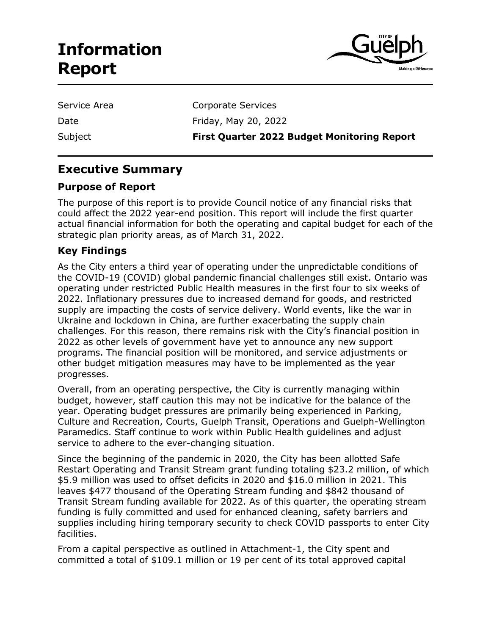# **Information Report**



| Service Area |
|--------------|
| Date         |
| Subject      |

Corporate Services

Friday, May 20, 2022

**First Quarter 2022 Budget Monitoring Report** 

# **Executive Summary**

# **Purpose of Report**

The purpose of this report is to provide Council notice of any financial risks that could affect the 2022 year-end position. This report will include the first quarter actual financial information for both the operating and capital budget for each of the strategic plan priority areas, as of March 31, 2022.

# **Key Findings**

As the City enters a third year of operating under the unpredictable conditions of the COVID-19 (COVID) global pandemic financial challenges still exist. Ontario was operating under restricted Public Health measures in the first four to six weeks of 2022. Inflationary pressures due to increased demand for goods, and restricted supply are impacting the costs of service delivery. World events, like the war in Ukraine and lockdown in China, are further exacerbating the supply chain challenges. For this reason, there remains risk with the City's financial position in 2022 as other levels of government have yet to announce any new support programs. The financial position will be monitored, and service adjustments or other budget mitigation measures may have to be implemented as the year progresses.

Overall, from an operating perspective, the City is currently managing within budget, however, staff caution this may not be indicative for the balance of the year. Operating budget pressures are primarily being experienced in Parking, Culture and Recreation, Courts, Guelph Transit, Operations and Guelph-Wellington Paramedics. Staff continue to work within Public Health guidelines and adjust service to adhere to the ever-changing situation.

Since the beginning of the pandemic in 2020, the City has been allotted Safe Restart Operating and Transit Stream grant funding totaling \$23.2 million, of which \$5.9 million was used to offset deficits in 2020 and \$16.0 million in 2021. This leaves \$477 thousand of the Operating Stream funding and \$842 thousand of Transit Stream funding available for 2022. As of this quarter, the operating stream funding is fully committed and used for enhanced cleaning, safety barriers and supplies including hiring temporary security to check COVID passports to enter City facilities.

From a capital perspective as outlined in Attachment-1, the City spent and committed a total of \$109.1 million or 19 per cent of its total approved capital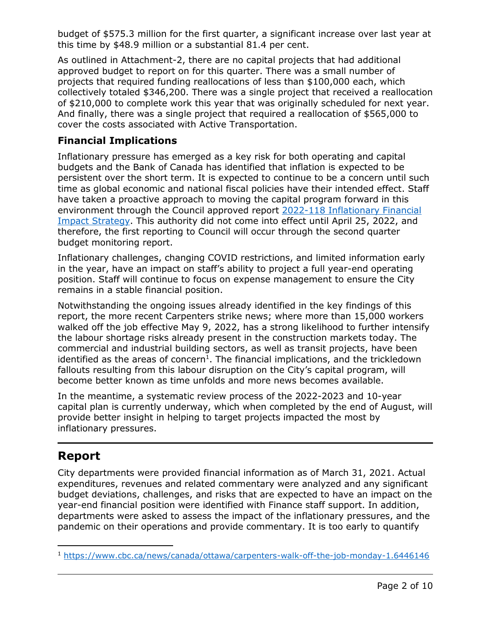budget of \$575.3 million for the first quarter, a significant increase over last year at this time by \$48.9 million or a substantial 81.4 per cent.

As outlined in Attachment-2, there are no capital projects that had additional approved budget to report on for this quarter. There was a small number of projects that required funding reallocations of less than \$100,000 each, which collectively totaled \$346,200. There was a single project that received a reallocation of \$210,000 to complete work this year that was originally scheduled for next year. And finally, there was a single project that required a reallocation of \$565,000 to cover the costs associated with Active Transportation.

# **Financial Implications**

Inflationary pressure has emerged as a key risk for both operating and capital budgets and the Bank of Canada has identified that inflation is expected to be persistent over the short term. It is expected to continue to be a concern until such time as global economic and national fiscal policies have their intended effect. Staff have taken a proactive approach to moving the capital program forward in this environment through the Council approved report [2022-118 Inflationary Financial](https://pub-guelph.escribemeetings.com/filestream.ashx?DocumentId=24484)  [Impact Strategy.](https://pub-guelph.escribemeetings.com/filestream.ashx?DocumentId=24484) This authority did not come into effect until April 25, 2022, and therefore, the first reporting to Council will occur through the second quarter budget monitoring report.

Inflationary challenges, changing COVID restrictions, and limited information early in the year, have an impact on staff's ability to project a full year-end operating position. Staff will continue to focus on expense management to ensure the City remains in a stable financial position.

Notwithstanding the ongoing issues already identified in the key findings of this report, the more recent Carpenters strike news; where more than 15,000 workers walked off the job effective May 9, 2022, has a strong likelihood to further intensify the labour shortage risks already present in the construction markets today. The commercial and industrial building sectors, as well as transit projects, have been identified as the areas of concern<sup>1</sup>. The financial implications, and the trickledown fallouts resulting from this labour disruption on the City's capital program, will become better known as time unfolds and more news becomes available.

In the meantime, a systematic review process of the 2022-2023 and 10-year capital plan is currently underway, which when completed by the end of August, will provide better insight in helping to target projects impacted the most by inflationary pressures.

# **Report**

j

City departments were provided financial information as of March 31, 2021. Actual expenditures, revenues and related commentary were analyzed and any significant budget deviations, challenges, and risks that are expected to have an impact on the year-end financial position were identified with Finance staff support. In addition, departments were asked to assess the impact of the inflationary pressures, and the pandemic on their operations and provide commentary. It is too early to quantify

<sup>1</sup> <https://www.cbc.ca/news/canada/ottawa/carpenters-walk-off-the-job-monday-1.6446146>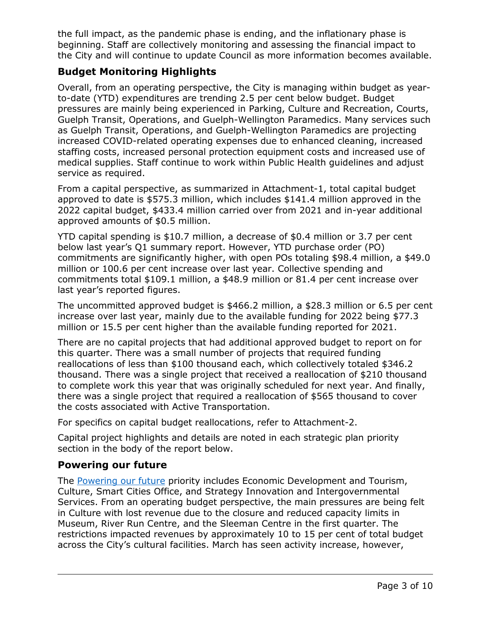the full impact, as the pandemic phase is ending, and the inflationary phase is beginning. Staff are collectively monitoring and assessing the financial impact to the City and will continue to update Council as more information becomes available.

# **Budget Monitoring Highlights**

Overall, from an operating perspective, the City is managing within budget as yearto-date (YTD) expenditures are trending 2.5 per cent below budget. Budget pressures are mainly being experienced in Parking, Culture and Recreation, Courts, Guelph Transit, Operations, and Guelph-Wellington Paramedics. Many services such as Guelph Transit, Operations, and Guelph-Wellington Paramedics are projecting increased COVID-related operating expenses due to enhanced cleaning, increased staffing costs, increased personal protection equipment costs and increased use of medical supplies. Staff continue to work within Public Health guidelines and adjust service as required.

From a capital perspective, as summarized in Attachment-1, total capital budget approved to date is \$575.3 million, which includes \$141.4 million approved in the 2022 capital budget, \$433.4 million carried over from 2021 and in-year additional approved amounts of \$0.5 million.

YTD capital spending is \$10.7 million, a decrease of \$0.4 million or 3.7 per cent below last year's Q1 summary report. However, YTD purchase order (PO) commitments are significantly higher, with open POs totaling \$98.4 million, a \$49.0 million or 100.6 per cent increase over last year. Collective spending and commitments total \$109.1 million, a \$48.9 million or 81.4 per cent increase over last year's reported figures.

The uncommitted approved budget is \$466.2 million, a \$28.3 million or 6.5 per cent increase over last year, mainly due to the available funding for 2022 being \$77.3 million or 15.5 per cent higher than the available funding reported for 2021.

There are no capital projects that had additional approved budget to report on for this quarter. There was a small number of projects that required funding reallocations of less than \$100 thousand each, which collectively totaled \$346.2 thousand. There was a single project that received a reallocation of \$210 thousand to complete work this year that was originally scheduled for next year. And finally, there was a single project that required a reallocation of \$565 thousand to cover the costs associated with Active Transportation.

For specifics on capital budget reallocations, refer to Attachment-2.

Capital project highlights and details are noted in each strategic plan priority section in the body of the report below.

# **Powering our future**

The [Powering our future](https://guelph.ca/city-hall/budget-and-finance/city-budget/2022-and-2023-city-budget/strategic-priorities/powering-our-future/) priority includes Economic Development and Tourism, Culture, Smart Cities Office, and Strategy Innovation and Intergovernmental Services. From an operating budget perspective, the main pressures are being felt in Culture with lost revenue due to the closure and reduced capacity limits in Museum, River Run Centre, and the Sleeman Centre in the first quarter. The restrictions impacted revenues by approximately 10 to 15 per cent of total budget across the City's cultural facilities. March has seen activity increase, however,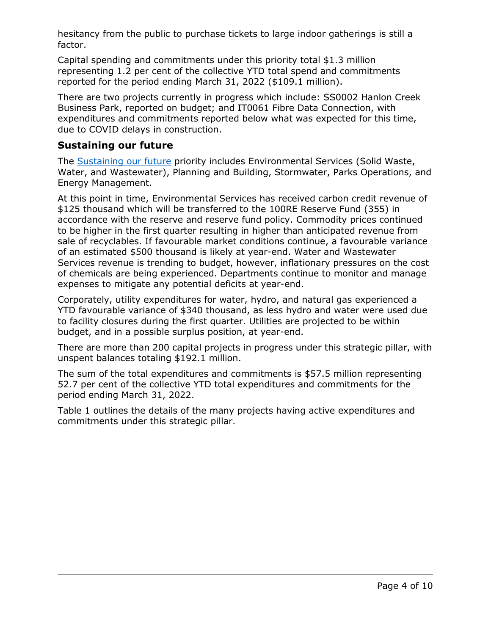hesitancy from the public to purchase tickets to large indoor gatherings is still a factor.

Capital spending and commitments under this priority total \$1.3 million representing 1.2 per cent of the collective YTD total spend and commitments reported for the period ending March 31, 2022 (\$109.1 million).

There are two projects currently in progress which include: SS0002 Hanlon Creek Business Park, reported on budget; and IT0061 Fibre Data Connection, with expenditures and commitments reported below what was expected for this time, due to COVID delays in construction.

#### **Sustaining our future**

The [Sustaining our future](https://guelph.ca/city-hall/budget-and-finance/city-budget/2022-and-2023-city-budget/strategic-priorities/sustaining-our-future/) priority includes Environmental Services (Solid Waste, Water, and Wastewater), Planning and Building, Stormwater, Parks Operations, and Energy Management.

At this point in time, Environmental Services has received carbon credit revenue of \$125 thousand which will be transferred to the 100RE Reserve Fund (355) in accordance with the reserve and reserve fund policy. Commodity prices continued to be higher in the first quarter resulting in higher than anticipated revenue from sale of recyclables. If favourable market conditions continue, a favourable variance of an estimated \$500 thousand is likely at year-end. Water and Wastewater Services revenue is trending to budget, however, inflationary pressures on the cost of chemicals are being experienced. Departments continue to monitor and manage expenses to mitigate any potential deficits at year-end.

Corporately, utility expenditures for water, hydro, and natural gas experienced a YTD favourable variance of \$340 thousand, as less hydro and water were used due to facility closures during the first quarter. Utilities are projected to be within budget, and in a possible surplus position, at year-end.

There are more than 200 capital projects in progress under this strategic pillar, with unspent balances totaling \$192.1 million.

The sum of the total expenditures and commitments is \$57.5 million representing 52.7 per cent of the collective YTD total expenditures and commitments for the period ending March 31, 2022.

Table 1 outlines the details of the many projects having active expenditures and commitments under this strategic pillar.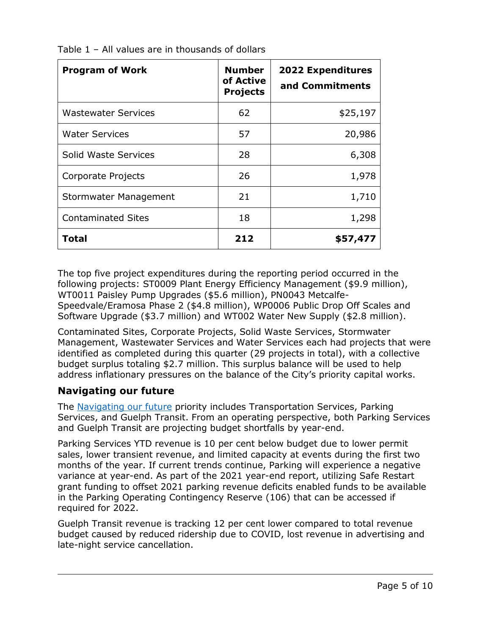| <b>Program of Work</b>     | <b>Number</b><br>of Active<br><b>Projects</b> | <b>2022 Expenditures</b><br>and Commitments |
|----------------------------|-----------------------------------------------|---------------------------------------------|
| <b>Wastewater Services</b> | 62                                            | \$25,197                                    |
| <b>Water Services</b>      | 57                                            | 20,986                                      |
| Solid Waste Services       | 28                                            | 6,308                                       |
| Corporate Projects         | 26                                            | 1,978                                       |
| Stormwater Management      | 21                                            | 1,710                                       |
| <b>Contaminated Sites</b>  | 18                                            | 1,298                                       |
| <b>Total</b>               | 212                                           | \$57,477                                    |

Table 1 – All values are in thousands of dollars

The top five project expenditures during the reporting period occurred in the following projects: ST0009 Plant Energy Efficiency Management (\$9.9 million), WT0011 Paisley Pump Upgrades (\$5.6 million), PN0043 Metcalfe-Speedvale/Eramosa Phase 2 (\$4.8 million), WP0006 Public Drop Off Scales and Software Upgrade (\$3.7 million) and WT002 Water New Supply (\$2.8 million).

Contaminated Sites, Corporate Projects, Solid Waste Services, Stormwater Management, Wastewater Services and Water Services each had projects that were identified as completed during this quarter (29 projects in total), with a collective budget surplus totaling \$2.7 million. This surplus balance will be used to help address inflationary pressures on the balance of the City's priority capital works.

# **Navigating our future**

The [Navigating our future](https://guelph.ca/city-hall/budget-and-finance/city-budget/2022-and-2023-city-budget/strategic-priorities/navigating-our-future/) priority includes Transportation Services, Parking Services, and Guelph Transit. From an operating perspective, both Parking Services and Guelph Transit are projecting budget shortfalls by year-end.

Parking Services YTD revenue is 10 per cent below budget due to lower permit sales, lower transient revenue, and limited capacity at events during the first two months of the year. If current trends continue, Parking will experience a negative variance at year-end. As part of the 2021 year-end report, utilizing Safe Restart grant funding to offset 2021 parking revenue deficits enabled funds to be available in the Parking Operating Contingency Reserve (106) that can be accessed if required for 2022.

Guelph Transit revenue is tracking 12 per cent lower compared to total revenue budget caused by reduced ridership due to COVID, lost revenue in advertising and late-night service cancellation.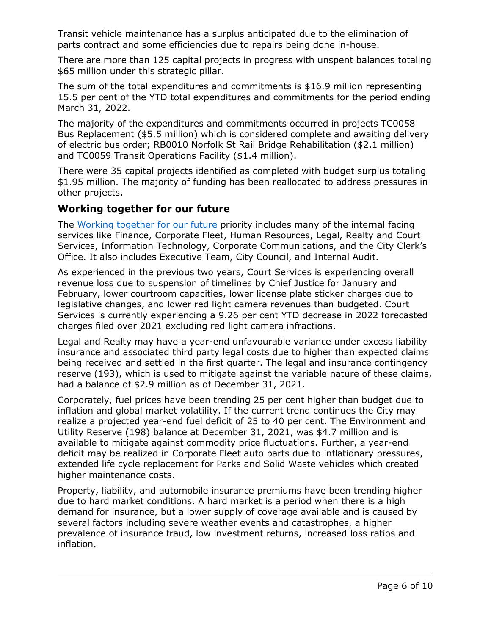Transit vehicle maintenance has a surplus anticipated due to the elimination of parts contract and some efficiencies due to repairs being done in-house.

There are more than 125 capital projects in progress with unspent balances totaling \$65 million under this strategic pillar.

The sum of the total expenditures and commitments is \$16.9 million representing 15.5 per cent of the YTD total expenditures and commitments for the period ending March 31, 2022.

The majority of the expenditures and commitments occurred in projects TC0058 Bus Replacement (\$5.5 million) which is considered complete and awaiting delivery of electric bus order; RB0010 Norfolk St Rail Bridge Rehabilitation (\$2.1 million) and TC0059 Transit Operations Facility (\$1.4 million).

There were 35 capital projects identified as completed with budget surplus totaling \$1.95 million. The majority of funding has been reallocated to address pressures in other projects.

## **Working together for our future**

The [Working together for our future](https://guelph.ca/city-hall/budget-and-finance/city-budget/2022-and-2023-city-budget/strategic-priorities/working-together-for-our-future/) priority includes many of the internal facing services like Finance, Corporate Fleet, Human Resources, Legal, Realty and Court Services, Information Technology, Corporate Communications, and the City Clerk's Office. It also includes Executive Team, City Council, and Internal Audit.

As experienced in the previous two years, Court Services is experiencing overall revenue loss due to suspension of timelines by Chief Justice for January and February, lower courtroom capacities, lower license plate sticker charges due to legislative changes, and lower red light camera revenues than budgeted. Court Services is currently experiencing a 9.26 per cent YTD decrease in 2022 forecasted charges filed over 2021 excluding red light camera infractions.

Legal and Realty may have a year-end unfavourable variance under excess liability insurance and associated third party legal costs due to higher than expected claims being received and settled in the first quarter. The legal and insurance contingency reserve (193), which is used to mitigate against the variable nature of these claims, had a balance of \$2.9 million as of December 31, 2021.

Corporately, fuel prices have been trending 25 per cent higher than budget due to inflation and global market volatility. If the current trend continues the City may realize a projected year-end fuel deficit of 25 to 40 per cent. The Environment and Utility Reserve (198) balance at December 31, 2021, was \$4.7 million and is available to mitigate against commodity price fluctuations. Further, a year-end deficit may be realized in Corporate Fleet auto parts due to inflationary pressures, extended life cycle replacement for Parks and Solid Waste vehicles which created higher maintenance costs.

Property, liability, and automobile insurance premiums have been trending higher due to hard market conditions. A hard market is a period when there is a high demand for insurance, but a lower supply of coverage available and is caused by several factors including severe weather events and catastrophes, a higher prevalence of insurance fraud, low investment returns, increased loss ratios and inflation.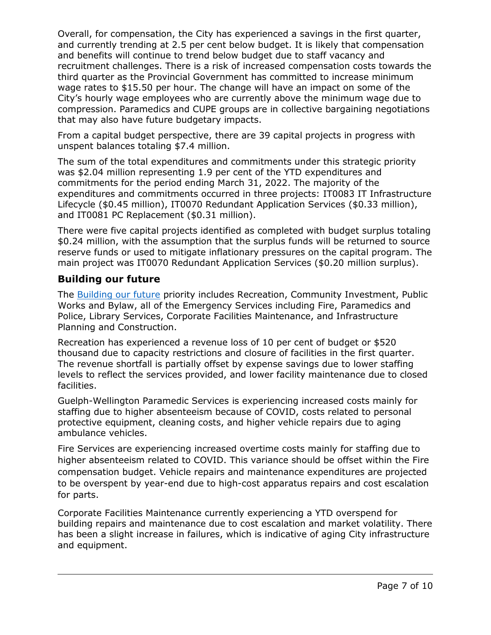Overall, for compensation, the City has experienced a savings in the first quarter, and currently trending at 2.5 per cent below budget. It is likely that compensation and benefits will continue to trend below budget due to staff vacancy and recruitment challenges. There is a risk of increased compensation costs towards the third quarter as the Provincial Government has committed to increase minimum wage rates to \$15.50 per hour. The change will have an impact on some of the City's hourly wage employees who are currently above the minimum wage due to compression. Paramedics and CUPE groups are in collective bargaining negotiations that may also have future budgetary impacts.

From a capital budget perspective, there are 39 capital projects in progress with unspent balances totaling \$7.4 million.

The sum of the total expenditures and commitments under this strategic priority was \$2.04 million representing 1.9 per cent of the YTD expenditures and commitments for the period ending March 31, 2022. The majority of the expenditures and commitments occurred in three projects: IT0083 IT Infrastructure Lifecycle (\$0.45 million), IT0070 Redundant Application Services (\$0.33 million), and IT0081 PC Replacement (\$0.31 million).

There were five capital projects identified as completed with budget surplus totaling \$0.24 million, with the assumption that the surplus funds will be returned to source reserve funds or used to mitigate inflationary pressures on the capital program. The main project was IT0070 Redundant Application Services (\$0.20 million surplus).

## **Building our future**

The **Building our future** priority includes Recreation, Community Investment, Public Works and Bylaw, all of the Emergency Services including Fire, Paramedics and Police, Library Services, Corporate Facilities Maintenance, and Infrastructure Planning and Construction.

Recreation has experienced a revenue loss of 10 per cent of budget or \$520 thousand due to capacity restrictions and closure of facilities in the first quarter. The revenue shortfall is partially offset by expense savings due to lower staffing levels to reflect the services provided, and lower facility maintenance due to closed facilities.

Guelph-Wellington Paramedic Services is experiencing increased costs mainly for staffing due to higher absenteeism because of COVID, costs related to personal protective equipment, cleaning costs, and higher vehicle repairs due to aging ambulance vehicles.

Fire Services are experiencing increased overtime costs mainly for staffing due to higher absenteeism related to COVID. This variance should be offset within the Fire compensation budget. Vehicle repairs and maintenance expenditures are projected to be overspent by year-end due to high-cost apparatus repairs and cost escalation for parts.

Corporate Facilities Maintenance currently experiencing a YTD overspend for building repairs and maintenance due to cost escalation and market volatility. There has been a slight increase in failures, which is indicative of aging City infrastructure and equipment.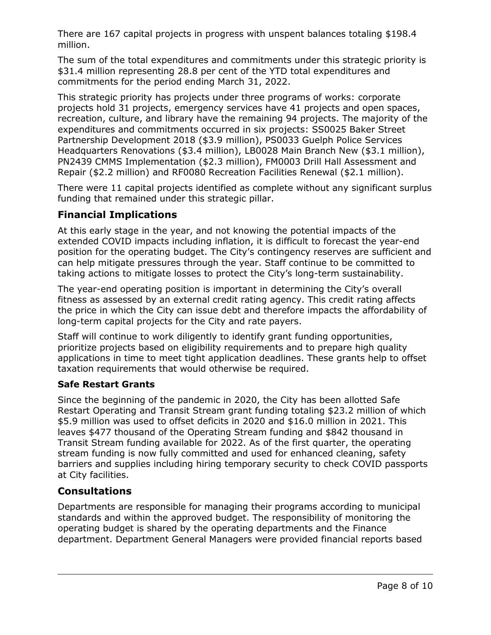There are 167 capital projects in progress with unspent balances totaling \$198.4 million.

The sum of the total expenditures and commitments under this strategic priority is \$31.4 million representing 28.8 per cent of the YTD total expenditures and commitments for the period ending March 31, 2022.

This strategic priority has projects under three programs of works: corporate projects hold 31 projects, emergency services have 41 projects and open spaces, recreation, culture, and library have the remaining 94 projects. The majority of the expenditures and commitments occurred in six projects: SS0025 Baker Street Partnership Development 2018 (\$3.9 million), PS0033 Guelph Police Services Headquarters Renovations (\$3.4 million), LB0028 Main Branch New (\$3.1 million), PN2439 CMMS Implementation (\$2.3 million), FM0003 Drill Hall Assessment and Repair (\$2.2 million) and RF0080 Recreation Facilities Renewal (\$2.1 million).

There were 11 capital projects identified as complete without any significant surplus funding that remained under this strategic pillar.

# **Financial Implications**

At this early stage in the year, and not knowing the potential impacts of the extended COVID impacts including inflation, it is difficult to forecast the year-end position for the operating budget. The City's contingency reserves are sufficient and can help mitigate pressures through the year. Staff continue to be committed to taking actions to mitigate losses to protect the City's long-term sustainability.

The year-end operating position is important in determining the City's overall fitness as assessed by an external credit rating agency. This credit rating affects the price in which the City can issue debt and therefore impacts the affordability of long-term capital projects for the City and rate payers.

Staff will continue to work diligently to identify grant funding opportunities, prioritize projects based on eligibility requirements and to prepare high quality applications in time to meet tight application deadlines. These grants help to offset taxation requirements that would otherwise be required.

## **Safe Restart Grants**

Since the beginning of the pandemic in 2020, the City has been allotted Safe Restart Operating and Transit Stream grant funding totaling \$23.2 million of which \$5.9 million was used to offset deficits in 2020 and \$16.0 million in 2021. This leaves \$477 thousand of the Operating Stream funding and \$842 thousand in Transit Stream funding available for 2022. As of the first quarter, the operating stream funding is now fully committed and used for enhanced cleaning, safety barriers and supplies including hiring temporary security to check COVID passports at City facilities.

# **Consultations**

Departments are responsible for managing their programs according to municipal standards and within the approved budget. The responsibility of monitoring the operating budget is shared by the operating departments and the Finance department. Department General Managers were provided financial reports based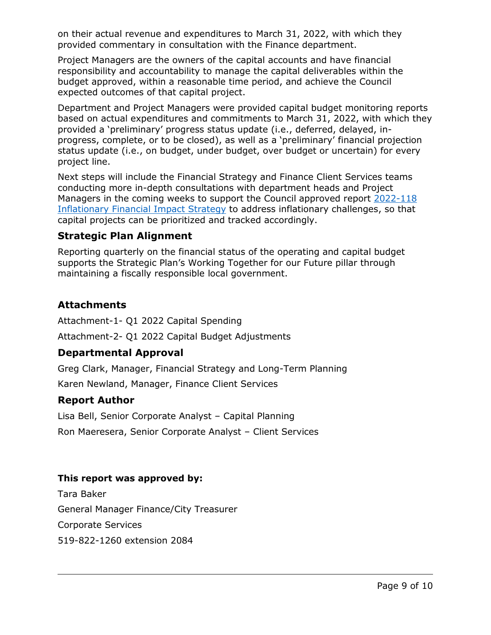on their actual revenue and expenditures to March 31, 2022, with which they provided commentary in consultation with the Finance department.

Project Managers are the owners of the capital accounts and have financial responsibility and accountability to manage the capital deliverables within the budget approved, within a reasonable time period, and achieve the Council expected outcomes of that capital project.

Department and Project Managers were provided capital budget monitoring reports based on actual expenditures and commitments to March 31, 2022, with which they provided a 'preliminary' progress status update (i.e., deferred, delayed, inprogress, complete, or to be closed), as well as a 'preliminary' financial projection status update (i.e., on budget, under budget, over budget or uncertain) for every project line.

Next steps will include the Financial Strategy and Finance Client Services teams conducting more in-depth consultations with department heads and Project Managers in the coming weeks to support the Council approved report [2022-118](https://pub-guelph.escribemeetings.com/filestream.ashx?DocumentId=24484)  [Inflationary Financial Impact Strategy](https://pub-guelph.escribemeetings.com/filestream.ashx?DocumentId=24484) to address inflationary challenges, so that capital projects can be prioritized and tracked accordingly.

#### **Strategic Plan Alignment**

Reporting quarterly on the financial status of the operating and capital budget supports the Strategic Plan's Working Together for our Future pillar through maintaining a fiscally responsible local government.

## **Attachments**

Attachment-1- Q1 2022 Capital Spending Attachment-2- Q1 2022 Capital Budget Adjustments

## **Departmental Approval**

Greg Clark, Manager, Financial Strategy and Long-Term Planning

Karen Newland, Manager, Finance Client Services

## **Report Author**

Lisa Bell, Senior Corporate Analyst – Capital Planning Ron Maeresera, Senior Corporate Analyst – Client Services

## **This report was approved by:**

Tara Baker General Manager Finance/City Treasurer Corporate Services 519-822-1260 extension 2084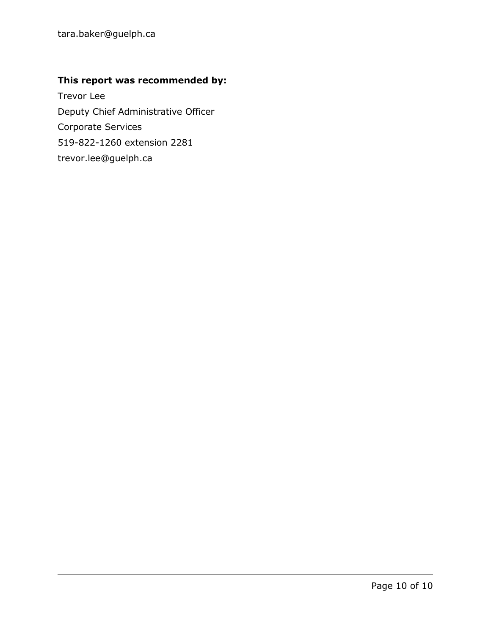# **This report was recommended by:**

Trevor Lee Deputy Chief Administrative Officer Corporate Services 519-822-1260 extension 2281 trevor.lee@guelph.ca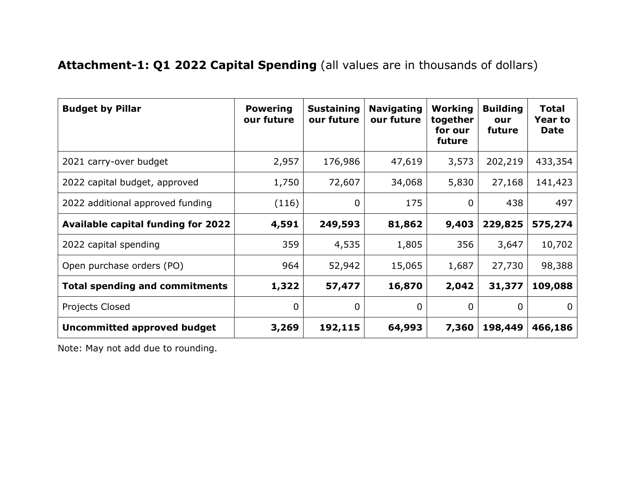# Attachment-1: Q1 2022 Capital Spending (all values are in thousands of dollars)

| <b>Budget by Pillar</b>                   | <b>Powering</b><br>our future | <b>Sustaining</b><br>our future | <b>Navigating</b><br>our future | Working<br>together<br>for our<br>future | <b>Building</b><br>our<br>future | <b>Total</b><br><b>Year to</b><br>Date |
|-------------------------------------------|-------------------------------|---------------------------------|---------------------------------|------------------------------------------|----------------------------------|----------------------------------------|
| 2021 carry-over budget                    | 2,957                         | 176,986                         | 47,619                          | 3,573                                    | 202,219                          | 433,354                                |
| 2022 capital budget, approved             | 1,750                         | 72,607                          | 34,068                          | 5,830                                    | 27,168                           | 141,423                                |
| 2022 additional approved funding          | (116)                         | 0                               | 175                             | $\Omega$                                 | 438                              | 497                                    |
| <b>Available capital funding for 2022</b> | 4,591                         | 249,593                         | 81,862                          | 9,403                                    | 229,825                          | 575,274                                |
| 2022 capital spending                     | 359                           | 4,535                           | 1,805                           | 356                                      | 3,647                            | 10,702                                 |
| Open purchase orders (PO)                 | 964                           | 52,942                          | 15,065                          | 1,687                                    | 27,730                           | 98,388                                 |
| <b>Total spending and commitments</b>     | 1,322                         | 57,477                          | 16,870                          | 2,042                                    | 31,377                           | 109,088                                |
| Projects Closed                           | $\mathbf 0$                   | 0                               | $\mathbf 0$                     | $\mathbf 0$                              | $\mathbf 0$                      | 0                                      |
| <b>Uncommitted approved budget</b>        | 3,269                         | 192,115                         | 64,993                          | 7,360                                    | 198,449                          | 466,186                                |

Note: May not add due to rounding.